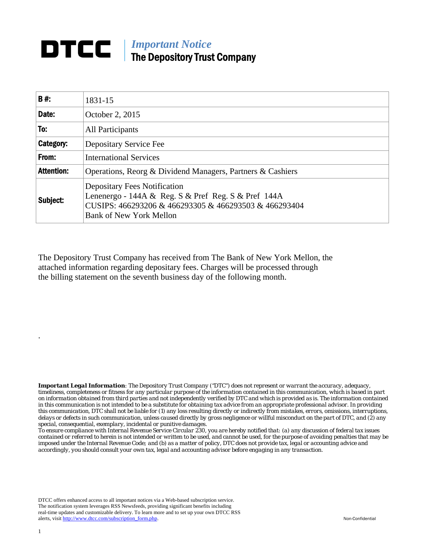## **DTCC** | *Important Notice* The Depository Trust Company

| B#:               | 1831-15                                                                                                                                                                               |
|-------------------|---------------------------------------------------------------------------------------------------------------------------------------------------------------------------------------|
| Date:             | October 2, 2015                                                                                                                                                                       |
| To:               | All Participants                                                                                                                                                                      |
| Category:         | Depositary Service Fee                                                                                                                                                                |
| From:             | <b>International Services</b>                                                                                                                                                         |
| <b>Attention:</b> | Operations, Reorg & Dividend Managers, Partners & Cashiers                                                                                                                            |
| Subject:          | <b>Depositary Fees Notification</b><br>Lenenergo - 144A & Reg. S & Pref Reg. S & Pref 144A<br>CUSIPS: 466293206 & 466293305 & 466293503 & 466293404<br><b>Bank of New York Mellon</b> |

The Depository Trust Company has received from The Bank of New York Mellon, the attached information regarding depositary fees. Charges will be processed through the billing statement on the seventh business day of the following month.

*Important Legal Information: The Depository Trust Company ("DTC") does not represent or warrant the accuracy, adequacy, timeliness, completeness or fitness for any particular purpose of the information contained in this communication, which is based in part on information obtained from third parties and not independently verified by DTC and which is provided as is. The information contained in this communication is not intended to be a substitute for obtaining tax advice from an appropriate professional advisor. In providing this communication, DTC shall not be liable for (1) any loss resulting directly or indirectly from mistakes, errors, omissions, interruptions, delays or defects in such communication, unless caused directly by gross negligence or willful misconduct on the part of DTC, and (2) any special, consequential, exemplary, incidental or punitive damages.* 

*To ensure compliance with Internal Revenue Service Circular 230, you are hereby notified that: (a) any discussion of federal tax issues contained or referred to herein is not intended or written to be used, and cannot be used, for the purpose of avoiding penalties that may be imposed under the Internal Revenue Code; and (b) as a matter of policy, DTC does not provide tax, legal or accounting advice and accordingly, you should consult your own tax, legal and accounting advisor before engaging in any transaction.*

DTCC offers enhanced access to all important notices via a Web-based subscription service. The notification system leverages RSS Newsfeeds, providing significant benefits including real-time updates and customizable delivery. To learn more and to set up your own DTCC RSS alerts, visit http://www.dtcc.com/subscription\_form.php. Non-Confidential

.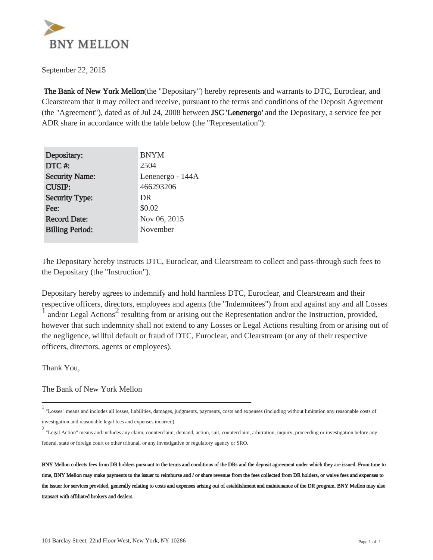

 The Bank of New York Mellon(the "Depositary") hereby represents and warrants to DTC, Euroclear, and Clearstream that it may collect and receive, pursuant to the terms and conditions of the Deposit Agreement (the "Agreement"), dated as of Jul 24, 2008 between JSC 'Lenenergo' and the Depositary, a service fee per ADR share in accordance with the table below (the "Representation"):

| Depositary:            | <b>BNYM</b>      |
|------------------------|------------------|
| DTC#:                  | 2504             |
| <b>Security Name:</b>  | Lenenergo - 144A |
| <b>CUSIP:</b>          | 466293206        |
| <b>Security Type:</b>  | DR               |
| Fee:                   | \$0.02           |
| <b>Record Date:</b>    | Nov 06, 2015     |
| <b>Billing Period:</b> | November         |
|                        |                  |

The Depositary hereby instructs DTC, Euroclear, and Clearstream to collect and pass-through such fees to the Depositary (the "Instruction").

Depositary hereby agrees to indemnify and hold harmless DTC, Euroclear, and Clearstream and their respective officers, directors, employees and agents (the "Indemnitees") from and against any and all Losses  $\frac{1}{1}$  and/or Legal Actions<sup>2</sup> resulting from or arising out the Representation and/or the Instruction, provided, however that such indemnity shall not extend to any Losses or Legal Actions resulting from or arising out of the negligence, willful default or fraud of DTC, Euroclear, and Clearstream (or any of their respective officers, directors, agents or employees).

Thank You,

The Bank of New York Mellon

<sup>1</sup> "Losses" means and includes all losses, liabilities, damages, judgments, payments, costs and expenses (including without limitation any reasonable costs of investigation and reasonable legal fees and expenses incurred).

<sup>2</sup> "Legal Action" means and includes any claim, counterclaim, demand, action, suit, counterclaim, arbitration, inquiry, proceeding or investigation before any federal, state or foreign court or other tribunal, or any investigative or regulatory agency or SRO.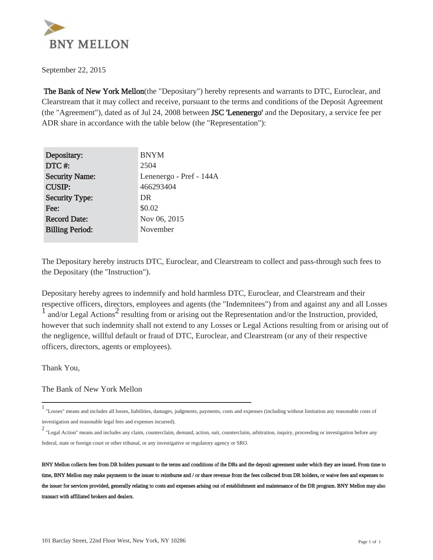

 The Bank of New York Mellon(the "Depositary") hereby represents and warrants to DTC, Euroclear, and Clearstream that it may collect and receive, pursuant to the terms and conditions of the Deposit Agreement (the "Agreement"), dated as of Jul 24, 2008 between JSC 'Lenenergo' and the Depositary, a service fee per ADR share in accordance with the table below (the "Representation"):

| Depositary:            | <b>BNYM</b>             |
|------------------------|-------------------------|
| DTC#:                  | 2504                    |
| <b>Security Name:</b>  | Lenenergo - Pref - 144A |
| <b>CUSIP:</b>          | 466293404               |
| <b>Security Type:</b>  | DR                      |
| Fee:                   | \$0.02                  |
| <b>Record Date:</b>    | Nov 06, 2015            |
| <b>Billing Period:</b> | November                |
|                        |                         |

The Depositary hereby instructs DTC, Euroclear, and Clearstream to collect and pass-through such fees to the Depositary (the "Instruction").

Depositary hereby agrees to indemnify and hold harmless DTC, Euroclear, and Clearstream and their respective officers, directors, employees and agents (the "Indemnitees") from and against any and all Losses  $\frac{1}{1}$  and/or Legal Actions<sup>2</sup> resulting from or arising out the Representation and/or the Instruction, provided, however that such indemnity shall not extend to any Losses or Legal Actions resulting from or arising out of the negligence, willful default or fraud of DTC, Euroclear, and Clearstream (or any of their respective officers, directors, agents or employees).

Thank You,

The Bank of New York Mellon

<sup>1</sup> "Losses" means and includes all losses, liabilities, damages, judgments, payments, costs and expenses (including without limitation any reasonable costs of investigation and reasonable legal fees and expenses incurred).

<sup>2</sup> "Legal Action" means and includes any claim, counterclaim, demand, action, suit, counterclaim, arbitration, inquiry, proceeding or investigation before any federal, state or foreign court or other tribunal, or any investigative or regulatory agency or SRO.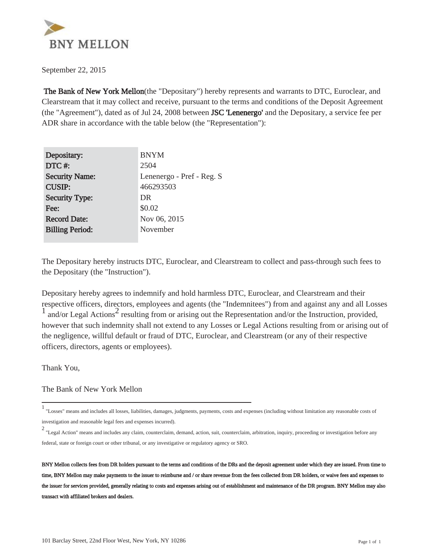

 The Bank of New York Mellon(the "Depositary") hereby represents and warrants to DTC, Euroclear, and Clearstream that it may collect and receive, pursuant to the terms and conditions of the Deposit Agreement (the "Agreement"), dated as of Jul 24, 2008 between JSC 'Lenenergo' and the Depositary, a service fee per ADR share in accordance with the table below (the "Representation"):

| Depositary:            | <b>BNYM</b>               |
|------------------------|---------------------------|
| DTC#:                  | 2504                      |
| <b>Security Name:</b>  | Lenenergo - Pref - Reg. S |
| <b>CUSIP:</b>          | 466293503                 |
| <b>Security Type:</b>  | DR                        |
| Fee:                   | \$0.02                    |
| <b>Record Date:</b>    | Nov 06, 2015              |
| <b>Billing Period:</b> | November                  |
|                        |                           |

The Depositary hereby instructs DTC, Euroclear, and Clearstream to collect and pass-through such fees to the Depositary (the "Instruction").

Depositary hereby agrees to indemnify and hold harmless DTC, Euroclear, and Clearstream and their respective officers, directors, employees and agents (the "Indemnitees") from and against any and all Losses  $\frac{1}{1}$  and/or Legal Actions<sup>2</sup> resulting from or arising out the Representation and/or the Instruction, provided, however that such indemnity shall not extend to any Losses or Legal Actions resulting from or arising out of the negligence, willful default or fraud of DTC, Euroclear, and Clearstream (or any of their respective officers, directors, agents or employees).

Thank You,

The Bank of New York Mellon

<sup>1</sup> "Losses" means and includes all losses, liabilities, damages, judgments, payments, costs and expenses (including without limitation any reasonable costs of investigation and reasonable legal fees and expenses incurred).

<sup>2</sup> "Legal Action" means and includes any claim, counterclaim, demand, action, suit, counterclaim, arbitration, inquiry, proceeding or investigation before any federal, state or foreign court or other tribunal, or any investigative or regulatory agency or SRO.